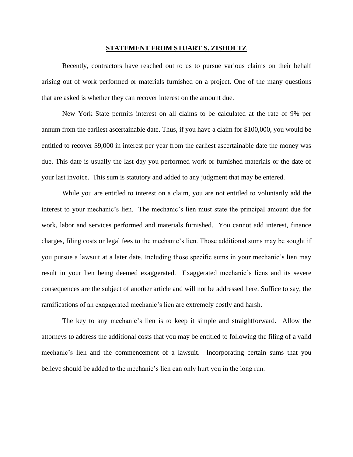## **STATEMENT FROM STUART S. ZISHOLTZ**

Recently, contractors have reached out to us to pursue various claims on their behalf arising out of work performed or materials furnished on a project. One of the many questions that are asked is whether they can recover interest on the amount due.

New York State permits interest on all claims to be calculated at the rate of 9% per annum from the earliest ascertainable date. Thus, if you have a claim for \$100,000, you would be entitled to recover \$9,000 in interest per year from the earliest ascertainable date the money was due. This date is usually the last day you performed work or furnished materials or the date of your last invoice. This sum is statutory and added to any judgment that may be entered.

While you are entitled to interest on a claim, you are not entitled to voluntarily add the interest to your mechanic's lien. The mechanic's lien must state the principal amount due for work, labor and services performed and materials furnished. You cannot add interest, finance charges, filing costs or legal fees to the mechanic's lien. Those additional sums may be sought if you pursue a lawsuit at a later date. Including those specific sums in your mechanic's lien may result in your lien being deemed exaggerated. Exaggerated mechanic's liens and its severe consequences are the subject of another article and will not be addressed here. Suffice to say, the ramifications of an exaggerated mechanic's lien are extremely costly and harsh.

The key to any mechanic's lien is to keep it simple and straightforward. Allow the attorneys to address the additional costs that you may be entitled to following the filing of a valid mechanic's lien and the commencement of a lawsuit. Incorporating certain sums that you believe should be added to the mechanic's lien can only hurt you in the long run.